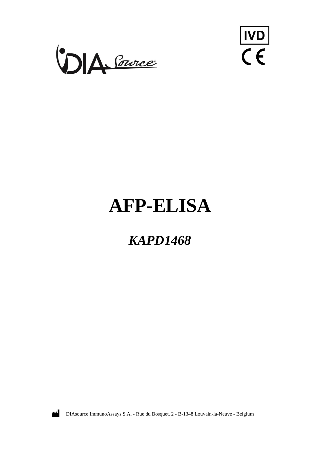



# **AFP-ELISA**

## *KAPD1468*



DIAsource ImmunoAssays S.A. - Rue du Bosquet, 2 - B-1348 Louvain-la-Neuve - Belgium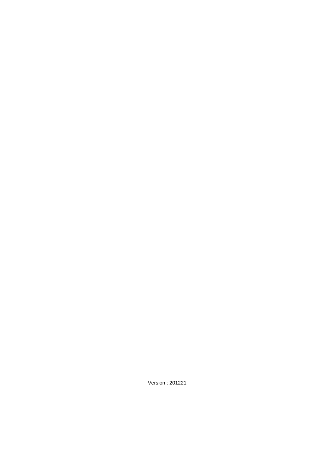Version : 201221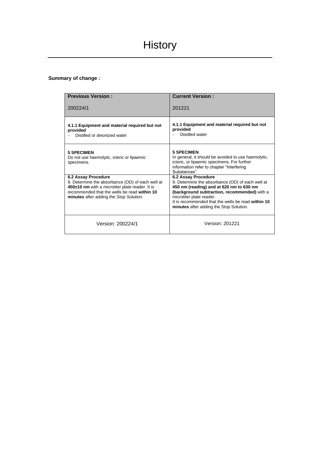## **Summary of change :**

| <b>Previous Version:</b>                                                                                                                                                                                              | <b>Current Version:</b>                                                                                                                                                                                                                                                                          |
|-----------------------------------------------------------------------------------------------------------------------------------------------------------------------------------------------------------------------|--------------------------------------------------------------------------------------------------------------------------------------------------------------------------------------------------------------------------------------------------------------------------------------------------|
| 200224/1                                                                                                                                                                                                              | 201221                                                                                                                                                                                                                                                                                           |
| 4.1.1 Equipment and material required but not<br>provided<br>Distilled or dejonized water                                                                                                                             | 4.1.1 Equipment and material required but not<br>provided<br>Distilled water                                                                                                                                                                                                                     |
| <b>5 SPECIMEN</b><br>Do not use haemolytic, icteric or lipaemic<br>specimens.                                                                                                                                         | <b>5 SPECIMEN</b><br>In general, it should be avoided to use haemolytic,<br>icteric, or lipaemic specimens. For further<br>information refer to chapter "Interfering<br>Substances"                                                                                                              |
| 6.2 Assay Procedure<br>9. Determine the absorbance (OD) of each well at<br>450±10 nm with a microtiter plate reader. It is<br>recommended that the wells be read within 10<br>minutes after adding the Stop Solution. | 6.2 Assay Procedure<br>9. Determine the absorbance (OD) of each well at<br>450 nm (reading) and at 620 nm to 630 nm<br>(background subtraction, recommended) with a<br>microtiter plate reader.<br>It is recommended that the wells be read within 10<br>minutes after adding the Stop Solution. |
| Version: 200224/1                                                                                                                                                                                                     | Version: 201221                                                                                                                                                                                                                                                                                  |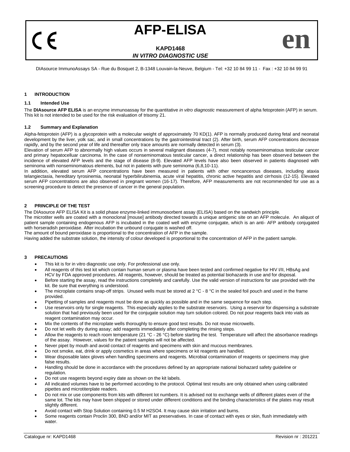## **AFP-ELISA**

## **KAPD1468** *IN VITRO DIAGNOSTIC USE*

|  | DIAsource ImmunoAssays SA - Rue du Bosquet 2, B-1348 Louvain-la-Neuve, Belgium - Tel: +32 10 84 99 11 - Fax : +32 10 84 99 91 |  |  |
|--|-------------------------------------------------------------------------------------------------------------------------------|--|--|
|  |                                                                                                                               |  |  |
|  |                                                                                                                               |  |  |
|  |                                                                                                                               |  |  |

## **1 INTRODUCTION**

(  $\epsilon$ 

## **1.1 Intended Use**

The **DIAsource AFP ELISA** is an enzyme immunoassay for the quantitative *in vitro diagnostic* measurement of alpha fetoprotein (AFP) in serum. This kit is not intended to be used for the risk evaluation of trisomy 21.

## **1.2 Summary and Explanation**

Alpha-fetoprotein (AFP) is a glycoprotein with a molecular weight of approximately 70 KD(1). AFP is normally produced during fetal and neonatal development by the liver, yolk sac, and in small concentrations by the gastrointestinal tract (2). After birth, serum AFP concentrations decrease rapidly, and by the second year of life and thereafter only trace amounts are normally detected in serum (3).

Elevation of serum AFP to abnormally high values occurs in several malignant diseases (4-7), most notably nonseminomatous testicular cancer and primary hepatocelluar carcinoma. In the case of nonseminomatous testicular cancer, a direct relationship has been observed between the incidence of elevated AFP levels and the stage of disease (8-9). Elevated AFP levels have also been observed in patients diagnosed with seminoma with nonseminomatous elements, but not in patients with pure seminoma (6,8,10-11).

In addition, elevated serum AFP concentrations have been measured in patients with other noncancerous diseases, including ataxia telangiectasia, hereditary tyrosinemia, neonatal hyperbilirubinemia, acute viral hepatitis, chronic active hepatitis and cirrhosis (12-15). Elevated serum AFP concentrations are also observed in pregnant women (16-17). Therefore, AFP measurements are not recommended for use as a screening procedure to detect the presence of cancer in the general population.

## **2 PRINCIPLE OF THE TEST**

The DIAsource AFP ELISA Kit is a solid phase enzyme-linked immunosorbent assay (ELISA) based on the sandwich principle.

The microtiter wells are coated with a monoclonal [mouse] antibody directed towards a unique antigenic site on an AFP molecule. An aliquot of patient sample containing endogenous AFP is incubated in the coated well with enzyme conjugate, which is an anti- AFP antibody conjugated with horseradish peroxidase. After incubation the unbound conjugate is washed off.

The amount of bound peroxidase is proportional to the concentration of AFP in the sample.

Having added the substrate solution, the intensity of colour developed is proportional to the concentration of AFP in the patient sample.

## **3 PRECAUTIONS**

- This kit is for in vitro diagnostic use only. For professional use only.
- All reagents of this test kit which contain human serum or plasma have been tested and confirmed negative for HIV I/II, HBsAg and HCV by FDA approved procedures. All reagents, however, should be treated as potential biohazards in use and for disposal.
- Before starting the assay, read the instructions completely and carefully. Use the valid version of instructions for use provided with the kit. Be sure that everything is understood.
- The microplate contains snap-off strips. Unused wells must be stored at  $2 °C$  8  $°C$  in the sealed foil pouch and used in the frame provided.
- Pipetting of samples and reagents must be done as quickly as possible and in the same sequence for each step.
- Use reservoirs only for single reagents. This especially applies to the substrate reservoirs. Using a reservoir for dispensing a substrate solution that had previously been used for the conjugate solution may turn solution colored. Do not pour reagents back into vials as reagent contamination may occur.
- Mix the contents of the microplate wells thoroughly to ensure good test results. Do not reuse microwells.
- Do not let wells dry during assay; add reagents immediately after completing the rinsing steps.
- Allow the reagents to reach room temperature (21 °C 26 °C) before starting the test. Temperature will affect the absorbance readings of the assay. However, values for the patient samples will not be affected.
- Never pipet by mouth and avoid contact of reagents and specimens with skin and mucous membranes.
- Do not smoke, eat, drink or apply cosmetics in areas where specimens or kit reagents are handled.
- Wear disposable latex gloves when handling specimens and reagents. Microbial contamination of reagents or specimens may give false results.
- Handling should be done in accordance with the procedures defined by an appropriate national biohazard safety guideline or regulation.
- Do not use reagents beyond expiry date as shown on the kit labels.
- All indicated volumes have to be performed according to the protocol. Optimal test results are only obtained when using calibrated pipettes and microtiterplate readers.
- Do not mix or use components from kits with different lot numbers. It is advised not to exchange wells of different plates even of the same lot. The kits may have been shipped or stored under different conditions and the binding characteristics of the plates may result slightly different.
- Avoid contact with Stop Solution containing 0.5 M H2SO4. It may cause skin irritation and burns.
- Some reagents contain Proclin 300, BND and/or MIT as preservatives. In case of contact with eyes or skin, flush immediately with water.

**en**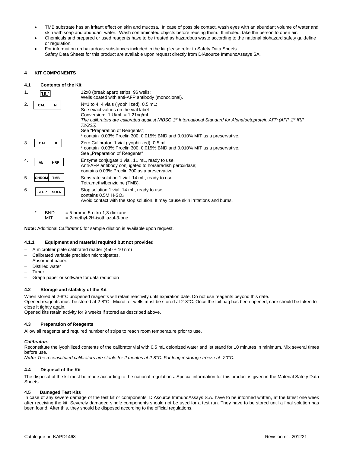- TMB substrate has an irritant effect on skin and mucosa. In case of possible contact, wash eyes with an abundant volume of water and skin with soap and abundant water. Wash contaminated objects before reusing them. If inhaled, take the person to open air.
- Chemicals and prepared or used reagents have to be treated as hazardous waste according to the national biohazard safety guideline or regulation.
- For information on hazardous substances included in the kit please refer to Safety Data Sheets. Safety Data Sheets for this product are available upon request directly from DIAsource ImmunoAssays SA.

## **4 KIT COMPONENTS**

## **4.1 Contents of the Kit**

| 1. | ᄣ                          | 12x8 (break apart) strips, 96 wells;<br>Wells coated with anti-AFP antibody (monoclonal).                                                                                                                                                                                                                                                                        |
|----|----------------------------|------------------------------------------------------------------------------------------------------------------------------------------------------------------------------------------------------------------------------------------------------------------------------------------------------------------------------------------------------------------|
| 2. | CAL<br>N                   | $N=1$ to 4, 4 vials (lyophilized), 0.5 mL;<br>See exact values on the vial label<br>Conversion: $1 U/mL = 1,21ng/mL$<br>The calibrators are calibrated against NIBSC 1st International Standard for Alphafoetoprotein AFP (AFP 1st IRP<br>72/225)<br>See "Preparation of Reagents";<br>* contain 0.03% Proclin 300, 0.015% BND and 0.010% MIT as a preservative. |
| 3. | CAL<br>0                   | Zero Calibrator, 1 vial (lyophilized), 0.5 ml<br>* contain 0.03% Proclin 300, 0.015% BND and 0.010% MIT as a preservative.<br>See "Preparation of Reagents"                                                                                                                                                                                                      |
| 4. | <b>HRP</b><br>Ab           | Enzyme conjugate 1 vial, 11 mL, ready to use,<br>Anti-AFP antibody conjugated to horseradish peroxidase;<br>contains 0.03% Proclin 300 as a preservative.                                                                                                                                                                                                        |
| 5. | <b>TMB</b><br><b>CHROM</b> | Substrate solution 1 vial, 14 mL, ready to use,<br>Tetramethylbenzidine (TMB).                                                                                                                                                                                                                                                                                   |
| 6. | <b>SOLN</b><br><b>STOP</b> | Stop solution 1 vial, 14 mL, ready to use,<br>contains $0.5M$ H <sub>2</sub> SO <sub>4</sub><br>Avoid contact with the stop solution. It may cause skin irritations and burns.                                                                                                                                                                                   |
|    | $\star$<br>DNIN.           | $-E$ brome $E$ pitro 1.2 dievano                                                                                                                                                                                                                                                                                                                                 |

BND = 5-bromo-5-nitro-1,3-dioxane MIT = 2-methyl-2H-isothiazol-3-one

**Note:** Additional *Calibrator 0* for sample dilution is available upon request.

## **4.1.1 Equipment and material required but not provided**

- − A microtiter plate calibrated reader (450 ± 10 nm)
- − Calibrated variable precision micropipettes.
- − Absorbent paper.
- Distilled water
- − Timer
- − Graph paper or software for data reduction

## **4.2 Storage and stability of the Kit**

When stored at 2-8°C unopened reagents will retain reactivity until expiration date. Do not use reagents beyond this date.

Opened reagents must be stored at 2-8°C. Microtiter wells must be stored at 2-8°C. Once the foil bag has been opened, care should be taken to close it tightly again.

Opened kits retain activity for 9 weeks if stored as described above.

## **4.3 Preparation of Reagents**

Allow all reagents and required number of strips to reach room temperature prior to use.

## *Calibrators*

Reconstitute the lyophilized contents of the calibrator vial with 0.5 mL deionized water and let stand for 10 minutes in minimum. Mix several times before use.

*Note: The reconstituted calibrators are stable for 2 months at 2-8°C. For longer storage freeze at -20°C.*

## **4.4 Disposal of the Kit**

The disposal of the kit must be made according to the national regulations. Special information for this product is given in the Material Safety Data Sheets.

## **4.5 Damaged Test Kits**

In case of any severe damage of the test kit or components, DIAsource ImmunoAssays S.A. have to be informed written, at the latest one week after receiving the kit. Severely damaged single components should not be used for a test run. They have to be stored until a final solution has been found. After this, they should be disposed according to the official regulations.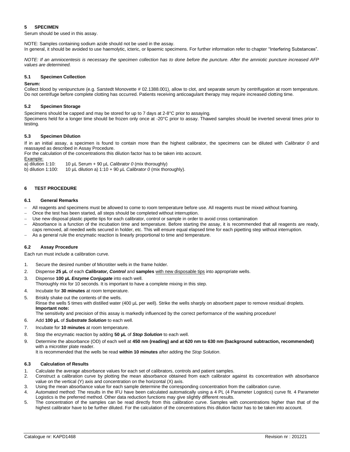## **5 SPECIMEN**

Serum should be used in this assay.

NOTE: Samples containing sodium azide should not be used in the assay. In general, it should be avoided to use haemolytic, icteric, or lipaemic specimens. For further information refer to chapter "Interfering Substances".

*NOTE: If an amniocentesis is necessary the specimen collection has to done before the puncture. After the amniotic puncture increased AFP values are determined.*

## **5.1 Specimen Collection**

## **Serum:**

Collect blood by venipuncture (e.g. Sarstedt Monovette # 02.1388.001), allow to clot, and separate serum by centrifugation at room temperature. Do not centrifuge before complete clotting has occurred. Patients receiving anticoagulant therapy may require increased clotting time.

## **5.2 Specimen Storage**

Specimens should be capped and may be stored for up to 7 days at 2-8°C prior to assaying.

Specimens held for a longer time should be frozen only once at -20°C prior to assay. Thawed samples should be inverted several times prior to testing.

## **5.3 Specimen Dilution**

If in an initial assay, a specimen is found to contain more than the highest calibrator, the specimens can be diluted with *Calibrator 0* and reassayed as described in Assay Procedure.

For the calculation of the concentrations this dilution factor has to be taken into account.

Example:

a) dilution 1:10: 10  $\mu$ L Serum + 90  $\mu$ L *Calibrator 0* (mix thoroughly) b) dilution 1:100: 10  $\mu$ L dilution a) 1:10 + 90  $\mu$ L *Calibrator 0* (mix thoroughly)

10  $\mu$ L dilution a) 1:10 + 90  $\mu$ L *Calibrator 0* (mix thoroughly).

## **6 TEST PROCEDURE**

## **6.1 General Remarks**

- − All reagents and specimens must be allowed to come to room temperature before use. All reagents must be mixed without foaming.
- Once the test has been started, all steps should be completed without interruption.
- Use new disposal plastic pipette tips for each calibrator, control or sample in order to avoid cross contamination
- − Absorbance is a function of the incubation time and temperature. Before starting the assay, it is recommended that all reagents are ready, caps removed, all needed wells secured in holder, etc. This will ensure equal elapsed time for each pipetting step without interruption.
- As a general rule the enzymatic reaction is linearly proportional to time and temperature.

## **6.2 Assay Procedure**

Each run must include a calibration curve.

- 1. Secure the desired number of Microtiter wells in the frame holder.
- 2. Dispense **25 µL** of each *Calibrator, Control* and **samples** with new disposable tips into appropriate wells.
- 3. Dispense **100 µL** *Enzyme Conjugate* into each well.
- Thoroughly mix for 10 seconds. It is important to have a complete mixing in this step.
- 4. Incubate for **30 minutes** at room temperature.
- 5. Briskly shake out the contents of the wells.
	- Rinse the wells 5 times with distilled water (400 µL per well). Strike the wells sharply on absorbent paper to remove residual droplets. **Important note:**

The sensitivity and precision of this assay is markedly influenced by the correct performance of the washing procedure!

- 6. Add **100 µL** of *Substrate Solution* to each well.
- 7. Incubate for **10 minutes** at room temperature.
- 8. Stop the enzymatic reaction by adding **50 µL** of *Stop Solution* to each well.
- 9. Determine the absorbance (OD) of each well at **450 nm (reading) and at 620 nm to 630 nm (background subtraction, recommended)**  with a microtiter plate reader.

It is recommended that the wells be read **within 10 minutes** after adding the *Stop Solution*.

## **6.3 Calculation of Results**

- 1. Calculate the average absorbance values for each set of calibrators, controls and patient samples.
- 2. Construct a calibration curve by plotting the mean absorbance obtained from each calibrator against its concentration with absorbance value on the vertical (Y) axis and concentration on the horizontal (X) axis.
- 3. Using the mean absorbance value for each sample determine the corresponding concentration from the calibration curve.
- 4. Automated method: The results in the IFU have been calculated automatically using a 4 PL (4 Parameter Logistics) curve fit. 4 Parameter Logistics is the preferred method. Other data reduction functions may give slightly different results.
- 5. The concentration of the samples can be read directly from this calibration curve. Samples with concentrations higher than that of the highest calibrator have to be further diluted. For the calculation of the concentrations this dilution factor has to be taken into account.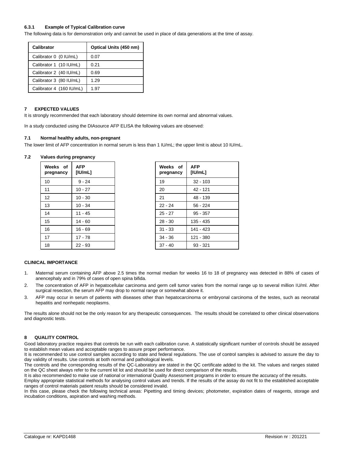## **6.3.1 Example of Typical Calibration curve**

The following data is for demonstration only and cannot be used in place of data generations at the time of assay.

| Calibrator               | Optical Units (450 nm) |
|--------------------------|------------------------|
| Calibrator 0 (0 IU/mL)   | 0.07                   |
| Calibrator 1 (10 IU/mL)  | 0.21                   |
| Calibrator 2 (40 IU/mL)  | 0.69                   |
| Calibrator 3 (80 IU/mL)  | 1.29                   |
| Calibrator 4 (160 IU/mL) | 1.97                   |

## **7 EXPECTED VALUES**

It is strongly recommended that each laboratory should determine its own normal and abnormal values.

In a study conducted using the DIAsource AFP ELISA the following values are observed:

## **7.1 Normal healthy adults, non-pregnant**

The lower limit of AFP concentration in normal serum is less than 1 IU/mL; the upper limit is about 10 IU/mL.

## **7.2 Values during pregnancy**

| Weeks of<br>pregnancy | <b>AFP</b><br>[ U/mL] | Weeks of<br>pregnancy | <b>AFP</b><br>[ U/mL] |
|-----------------------|-----------------------|-----------------------|-----------------------|
| 10                    | $9 - 24$              | 19                    | $32 - 103$            |
| 11                    | $10 - 27$             | 20                    | $42 - 121$            |
| 12                    | $10 - 30$             | 21                    | 48 - 139              |
| 13                    | $10 - 34$             | $22 - 24$             | $56 - 224$            |
| 14                    | $11 - 45$             | $25 - 27$             | $95 - 357$            |
| 15                    | $14 - 60$             | $28 - 30$             | $135 - 435$           |
| 16                    | $16 - 69$             | $31 - 33$             | 141 - 423             |
| 17                    | $17 - 78$             | $34 - 36$             | 121 - 380             |
| 18                    | $22 - 93$             | $37 - 40$             | $93 - 321$            |

| Weeks of<br>pregnancy | AFP<br>[IU/mL] |
|-----------------------|----------------|
| 19                    | $32 - 103$     |
| 20                    | 42 - 121       |
| 21                    | 48 - 139       |
| $22 - 24$             | $56 - 224$     |
| $25 - 27$             | $95 - 357$     |
| $28 - 30$             | $135 - 435$    |
| $31 - 33$             | 141 - 423      |
| $34 - 36$             | 121 - 380      |
| $37 - 40$             | 93 - 321       |

## **CLINICAL IMPORTANCE**

- 1. Maternal serum containing AFP above 2.5 times the normal median for weeks 16 to 18 of pregnancy was detected in 88% of cases of anencephaly and in 79% of cases of open spina bifida.
- 2. The concentration of AFP in hepatocellular carcinoma and germ cell tumor varies from the normal range up to several million IU/ml. After surgical resection, the serum AFP may drop to normal range or somewhat above it.
- 3. AFP may occur in serum of patients with diseases other than hepatocarcinoma or embryonal carcinoma of the testes, such as neonatal hepatitis and nonhepatic neoplasms.

The results alone should not be the only reason for any therapeutic consequences. The results should be correlated to other clinical observations and diagnostic tests.

## **8 QUALITY CONTROL**

Good laboratory practice requires that controls be run with each calibration curve. A statistically significant number of controls should be assayed to establish mean values and acceptable ranges to assure proper performance.

It is recommended to use control samples according to state and federal regulations. The use of control samples is advised to assure the day to day validity of results. Use controls at both normal and pathological levels.

The controls and the corresponding results of the QC-Laboratory are stated in the QC certificate added to the kit. The values and ranges stated on the QC sheet always refer to the current kit lot and should be used for direct comparison of the results.

It is also recommended to make use of national or international Quality Assessment programs in order to ensure the accuracy of the results. Employ appropriate statistical methods for analysing control values and trends. If the results of the assay do not fit to the established acceptable ranges of control materials patient results should be considered invalid.

In this case, please check the following technical areas: Pipetting and timing devices; photometer, expiration dates of reagents, storage and incubation conditions, aspiration and washing methods.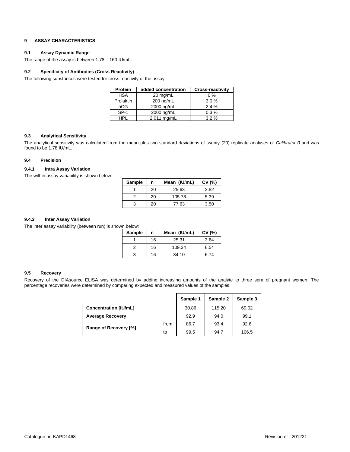## **9 ASSAY CHARACTERISTICS**

## **9.1 Assay Dynamic Range**

The range of the assay is between 1.78 – 160 IU/mL.

## **9.2 Specificity of Antibodies (Cross Reactivity)**

The following substances were tested for cross reactivity of the assay:

| <b>Protein</b> | added concentration | <b>Cross-reactivity</b> |
|----------------|---------------------|-------------------------|
| <b>HSA</b>     | 20 mg/mL            | $0\%$                   |
| Prolaktin      | $200 \text{ ng/mL}$ | 3.0%                    |
| hCG            | 2000 ng/mL          | 2.4%                    |
| $SP-1$         | 2000 ng/mL          | 0.3%                    |
| HPI            | 2,011 mg/mL         | $3.2\%$                 |

## **9.3 Analytical Sensitivity**

The analytical sensitivity was calculated from the mean plus two standard deviations of twenty (20) replicate analyses of *Calibrator 0* and was found to be 1.78 IU/mL.

## **9.4 Precision**

## **9.4.1 Intra Assay Variation**

The within assay variability is shown below:

| Sample | n  | Mean (IU/mL) | CV (%) |
|--------|----|--------------|--------|
|        | 20 | 25.63        | 3.82   |
|        | 20 | 105.78       | 5.39   |
|        | 20 | 77.63        | 3.50   |

## **9.4.2 Inter Assay Variation**

The inter assay variability (between run) is shown below:

| <b>Sample</b> | n  | Mean (IU/mL) | CV(%) |
|---------------|----|--------------|-------|
|               | 16 | 25.31        | 3.64  |
|               | 16 | 109.34       | 6.54  |
| 3             | 16 | 84.10        | 6.74  |

## **9.5 Recovery**

Recovery of the DIAsource ELISA was determined by adding increasing amounts of the analyte to three sera of pregnant women. The percentage recoveries were determined by comparing expected and measured values of the samples.

|                               |    | Sample 1 | Sample 2 | Sample 3 |
|-------------------------------|----|----------|----------|----------|
| <b>Concentration [IU/mL]</b>  |    | 30.86    | 115.20   | 69.02    |
| <b>Average Recovery</b>       |    | 92.9     | 94.0     | 99.1     |
| from<br>Range of Recovery [%] |    | 86.7     | 93.4     | 92.6     |
|                               | to | 99.5     | 94.7     | 106.5    |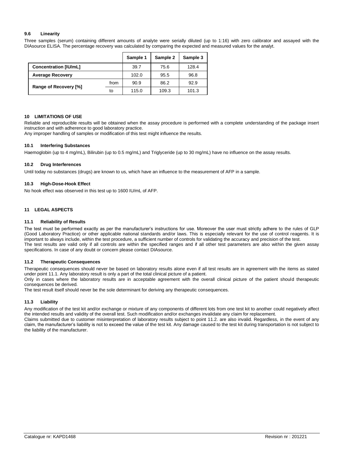## **9.6 Linearity**

Three samples (serum) containing different amounts of analyte were serially diluted (up to 1:16) with zero calibrator and assayed with the DIAsource ELISA. The percentage recovery was calculated by comparing the expected and measured values for the analyt.

|                              |      | Sample 1 | Sample 2 | Sample 3 |
|------------------------------|------|----------|----------|----------|
| <b>Concentration [IU/mL]</b> |      | 39.7     | 75.6     | 128.4    |
| <b>Average Recovery</b>      |      | 102.0    | 95.5     | 96.8     |
| Range of Recovery [%]        | from | 90.9     | 86.2     | 92.9     |
|                              | to   | 115.0    | 109.3    | 101.3    |

## **10 LIMITATIONS OF USE**

Reliable and reproducible results will be obtained when the assay procedure is performed with a complete understanding of the package insert instruction and with adherence to good laboratory practice.

Any improper handling of samples or modification of this test might influence the results.

## **10.1 Interfering Substances**

Haemoglobin (up to 4 mg/mL), Bilirubin (up to 0.5 mg/mL) and Triglyceride (up to 30 mg/mL) have no influence on the assay results.

## **10.2 Drug Interferences**

Until today no substances (drugs) are known to us, which have an influence to the measurement of AFP in a sample.

## **10.3 High-Dose-Hook Effect**

No hook effect was observed in this test up to 1600 IU/mL of AFP.

## **11 LEGAL ASPECTS**

## **11.1 Reliability of Results**

The test must be performed exactly as per the manufacturer's instructions for use. Moreover the user must strictly adhere to the rules of GLP (Good Laboratory Practice) or other applicable national standards and/or laws. This is especially relevant for the use of control reagents. It is important to always include, within the test procedure, a sufficient number of controls for validating the accuracy and precision of the test. The test results are valid only if all controls are within the specified ranges and if all other test parameters are also within the given assay specifications. In case of any doubt or concern please contact DIAsource.

## **11.2 Therapeutic Consequences**

Therapeutic consequences should never be based on laboratory results alone even if all test results are in agreement with the items as stated under point 11.1. Any laboratory result is only a part of the total clinical picture of a patient.

Only in cases where the laboratory results are in acceptable agreement with the overall clinical picture of the patient should therapeutic consequences be derived.

The test result itself should never be the sole determinant for deriving any therapeutic consequences.

## **11.3 Liability**

Any modification of the test kit and/or exchange or mixture of any components of different lots from one test kit to another could negatively affect the intended results and validity of the overall test. Such modification and/or exchanges invalidate any claim for replacement.

Claims submitted due to customer misinterpretation of laboratory results subject to point 11.2. are also invalid. Regardless, in the event of any claim, the manufacturer's liability is not to exceed the value of the test kit. Any damage caused to the test kit during transportation is not subject to the liability of the manufacturer.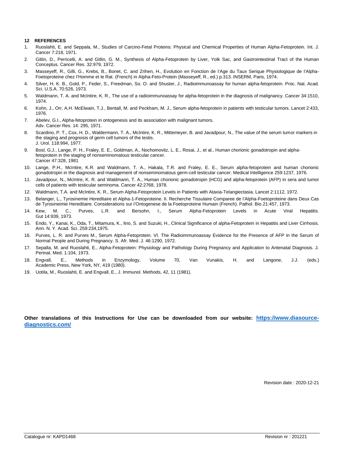## **12 REFERENCES**

- 1. Ruoslahti, E. and Seppala, M., Studies of Carcino-Fetal Proteins: Physical and Chemical Properties of Human Alpha-Fetoprotein. Int. J. Cancer 7:218, 1971.
- 2. Gitlin, D., Perricelli, A. and Gitlin, G. M., Synthesis of Alpha-Fetoprotein by Liver, Yolk Sac, and Gastrointestinal Tract of the Human Conceptus. Cancer Res. 32:979, 1972.
- 3. Masseyeff, R., Gilli, G., Krebs, B., Bonet, C. and Zrihen, H., Evolution en Fonction de I'Age du Taux Serique Physiologique de I'Alpha-Foetoproteine chez I'Homme et le Rat. (French) in Alpha-Feto-Protein (Masseyeff, R., ed.) p.313. INSERM, Paris, 1974.
- 4. Silver, H. K. B., Gold, P., Feder, S., Freedman, So. O. and Shuster, J., Radioimmunoassay for human alpha-fetoprotein. Proc. Nat. Acad. Sci. U.S.A. 70:526, 1973.
- 5. Waldmann, T. A. and McIntire, K. R., The use of a radioimmunoassay for alpha-fetoprotein in the diagnosis of malignancy. Cancer 34:1510, 1974.
- 6. Kohn, J., Orr, A.H. McElwain, T.J., Bentall, M. and Peckham, M. J., Serum alpha-fetoprotein in patients with testicular tumors. Lancet 2:433, 1976.
- 7. Abelev, G.I., Alpha-fetoprotein in ontogenesis and its association with malignant tumors. Adv. Cancer Res. 14: 295, 1971.
- 8. Scardino, P. T., Cox, H. D., Waldermann, T. A., McIntire, K. R., Mittemeyer, B. and Javadpour, N., The value of the serum tumor markers in the staging and prognosis of germ cell tumors of the testis. J. Urol. 118:994, 1977.
- 9. Bosl, G.J., Lange, P. H., Fraley, E. E., Goldman, A., Nochomovitz, L. E., Rosai, J., et al., Human chorionic gonadotropin and alphafetoprotein in the staging of nonseminomatous testicular cancer. Cancer 47:328, 1981
- 10. Lange, P.H., McIntire, K.R. and Waldmann, T. A., Hakala, T.R. and Fraley, E. E., Serum alpha-fetoprotein and human chorionic gonadotropin in the diagnosis and management of nonseminomatous germ-cell testicular cancer. Medical Intelligence 259:1237, 1976.
- 11. Javadpour, N., McIntre, K. R. and Waldmann, T. A., Human chorionic gonadotropin (HCG) and alpha-fetoprotein (AFP) in sera and tumor cells of patients with testicular seminoma. Cancer 42:2768, 1978.
- 12. Waldmann, T.A. and McIntire, K. R., Serum Alpha-Fetoprotein Levels in Patients with Ataxia-Telangiectasia. Lancet 2:1112, 1972.
- 13. Belanger, L., Tyrosinemie Hereditaire et Alpha-1-Fetoproteine. II. Recherche Tissulaire Comparee de I'Alpha-Foetoproteine dans Deux Cas de Tyrosineimie Hereditaire. Considerations sur I'Ontogenese de la Foetoproteine Humain (French). Pathol. Bio.21:457, 1973.
- 14. Kew, M. C., Purves, L.R. and Bersohn, I., Serum Alpha-Fetoprotein Levels in Acute Viral Hepatitis. Gut 14:939, 1973.
- 15. Endo, Y., Kanai, K., Oda, T., Mitamura, K., lino, S. and Suzuki, H., Clinical Significance of alpha-Fetoprotein in Hepatitis and Liver Cirrhosis. Ann. N. Y. Acad. Sci. 259:234,1975.
- 16. Purves, L. R. and Purves M., Serum Alpha-Fetoprotein. VI. The Radioimmunoassay Evidence for the Presence of AFP in the Serum of Normal People and During Pregnancy. S. Afr. Med. J. 46:1290, 1972.
- 17. Sepalla, M. and Ruoslahti, E., Alpha-Fetoprotein: Physiology and Pathology During Pregnancy and Application to Antenatal Diagnosis. J. Perinat. Med. 1:104, 1973.
- 18. Engvall, E., Methods in Enzymology, Volume 70, Van Vunakis, H. and Langone, J.J. (eds.) Academic Press, New York, NY, 419 (1980).
- 19. Uotila, M., Ruoslahti, E. and Engvall, E., J. Immunol. Methods, 42, 11 (1981).

## **Other translations of this Instructions for Use can be downloaded from our website: [https://www.diasource](https://www.diasource-diagnostics.com/)[diagnostics.com/](https://www.diasource-diagnostics.com/)**

Revision date : 2020-12-21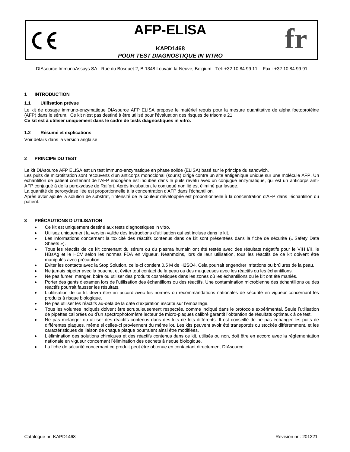## **AFP-ELISA**

## **KAPD1468** *POUR TEST DIAGNOSTIQUE IN VITRO*

DIAsource ImmunoAssays SA - Rue du Bosquet 2, B-1348 Louvain-la-Neuve, Belgium - Tel: +32 10 84 99 11 - Fax : +32 10 84 99 91

## **1 INTRODUCTION**

 $\epsilon$ 

## **1.1 Utilisation prévue**

Le kit de dosage immuno-enzymatique DIAsource AFP ELISA propose le matériel requis pour la mesure quantitative de alpha foetoprotéine (AFP) dans le sérum. Ce kit n'est pas destiné à être utilisé pour l'évaluation des risques de trisomie 21 **Ce kit est à utiliser uniquement dans le cadre de tests diagnostiques in vitro.**

## **1.2 Résumé et explications**

Voir details dans la version anglaise

## **2 PRINCIPE DU TEST**

Le kit DIAsource AFP ELISA est un test immuno-enzymatique en phase solide (ELISA) basé sur le principe du sandwich.

Les puits de microtitration sont recouverts d'un anticorps monoclonal (souris) dirigé contre un site antigénique unique sur une molécule AFP. Un échantillon de patient contenant de l'AFP endogène est incubée dans le puits revêtu avec un conjugué enzymatique, qui est un anticorps anti-AFP conjugué à de la peroxydase de Raifort. Après incubation, le conjugué non lié est éliminé par lavage.

La quantité de peroxydase liée est proportionnelle à la concentration d'AFP dans l'échantillon.

Après avoir ajouté la solution de substrat, l'intensité de la couleur développée est proportionnelle à la concentration d'AFP dans l'échantillon du patient.

## **3 PRÉCAUTIONS D'UTILISATION**

- Ce kit est uniquement destiné aux tests diagnostiques in vitro.
- Utilisez uniquement la version valide des instructions d'utilisation qui est incluse dans le kit.
- Les informations concernant la toxicité des réactifs contenus dans ce kit sont présentées dans la fiche de sécurité (« Safety Data Sheets »).
- Tous les réactifs de ce kit contenant du sérum ou du plasma humain ont été testés avec des résultats négatifs pour le VIH I/II, le HBsAg et le HCV selon les normes FDA en vigueur. Néanmoins, lors de leur utilisation, tous les réactifs de ce kit doivent être manipulés avec précaution.
- Eviter les contacts avec la Stop Solution, celle-ci contient 0.5 M de H2SO4. Cela pourrait engendrer irritations ou brûlures de la peau.
- Ne jamais pipeter avec la bouche, et éviter tout contact de la peau ou des muqueuses avec les réactifs ou les échantillons.
- Ne pas fumer, manger, boire ou utiliser des produits cosmétiques dans les zones où les échantillons ou le kit ont été maniés.
- Porter des gants d'examen lors de l'utilisation des échantillons ou des réactifs. Une contamination microbienne des échantillons ou des réactifs pourrait fausser les résultats.
- L'utilisation de ce kit devra être en accord avec les normes ou recommandations nationales de sécurité en vigueur concernant les produits à risque biologique.
- Ne pas utiliser les réactifs au-delà de la date d'expiration inscrite sur l'emballage.
- Tous les volumes indiqués doivent être scrupuleusement respectés, comme indiqué dans le protocole expérimental. Seule l'utilisation de pipettes calibrées ou d'un spectrophotomètre lecteur de micro-plaques calibré garantit l'obtention de résultats optimaux à ce test.
- Ne pas mélanger ou utiliser des réactifs contenus dans des kits de lots différents. Il est conseillé de ne pas échanger les puits de différentes plaques, même si celles-ci proviennent du même lot. Les kits peuvent avoir été transportés ou stockés différemment, et les caractéristiques de liaison de chaque plaque pourraient ainsi être modifiées.
- L'élimination des solutions chimiques et des réactifs contenus dans ce kit, utilisés ou non, doit être en accord avec la réglementation nationale en vigueur concernant l'élimination des déchets à risque biologique.
- La fiche de sécurité concernant ce produit peut être obtenue en contactant directement DIAsource.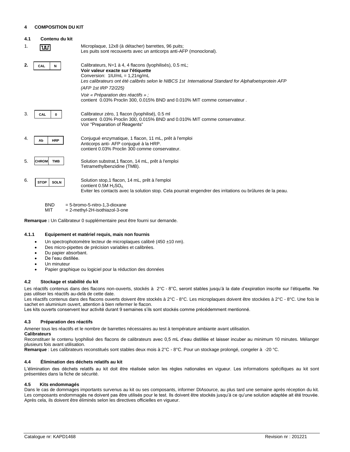## **4 COMPOSITION DU KIT**

## **4.1 Contenu du kit**

| 1. | ш                                              | Microplaque, 12x8 (à détacher) barrettes, 96 puits;<br>Les puits sont recouverts avec un anticorps anti-AFP (monoclonal).                                                                                                                                          |  |  |  |  |
|----|------------------------------------------------|--------------------------------------------------------------------------------------------------------------------------------------------------------------------------------------------------------------------------------------------------------------------|--|--|--|--|
| 2. | CAL<br>N                                       | Calibrateurs, N=1 à 4, 4 flacons (lyophilisés), 0.5 mL;<br>Voir valeur exacte sur l'étiquette<br>Conversion: $1 U/mL = 1.21nq/mL$<br>Les calibrateurs ont été calibrés selon le NIBCS 1st International Standard for Alphafoetoprotein AFP<br>(AFP 1st IRP 72/225) |  |  |  |  |
|    |                                                | Voir « Préparation des réactifs » :<br>contient 0.03% Proclin 300, 0.015% BND and 0.010% MIT comme conservateur.                                                                                                                                                   |  |  |  |  |
| 3. | CAL<br>0                                       | Calibrateur zéro, 1 flacon (Iyophilisé), 0.5 ml<br>contient 0.03% Proclin 300, 0.015% BND and 0.010% MIT comme conservateur.<br>Voir "Preparation of Reagents"                                                                                                     |  |  |  |  |
| 4. | <b>HRP</b><br>Ab                               | Conjugué enzymatique, 1 flacon, 11 mL, prêt à l'emploi<br>Anticorps anti-AFP conjugué à la HRP.<br>contient 0.03% Proclin 300 comme conservateur.                                                                                                                  |  |  |  |  |
| 5. | <b>TMB</b><br><b>CHROM</b>                     | Solution substrat, 1 flacon, 14 mL, prêt à l'emploi<br>Tetramethylbenzidine (TMB).                                                                                                                                                                                 |  |  |  |  |
| 6. | <b>STOP</b><br><b>SOLN</b>                     | Solution stop,1 flacon, 14 mL, prêt à l'emploi<br>contient $0.5M H_2SO_4$<br>Eviter les contacts avec la solution stop. Cela pourrait engendrer des irritations ou brûlures de la peau.                                                                            |  |  |  |  |
|    | <b>BND</b><br>$= 5$ -bromo-5-nitro-1.3-dioxane |                                                                                                                                                                                                                                                                    |  |  |  |  |

 $MIT = 2-methyl-2H-isothiazol-3-one$ 

**Remarque :** Un Calibrateur 0 supplémentaire peut être fourni sur demande.

## **4.1.1 Equipement et matériel requis, mais non fournis**

- Un spectrophotomètre lecteur de microplaques calibré (450 ±10 nm).
- Des micro-pipettes de précision variables et calibrées.
- Du papier absorbant.
- De l'eau distillée.
- Un minuteur
- Papier graphique ou logiciel pour la réduction des données

## **4.2 Stockage et stabilité du kit**

Les réactifs contenus dans des flacons non-ouverts, stockés à 2°C - 8°C, seront stables jusqu'à la date d'expiration inscrite sur l'étiquette. Ne pas utiliser les réactifs au-delà de cette date.

Les réactifs contenus dans des flacons ouverts doivent être stockés à 2°C - 8°C. Les microplaques doivent être stockées à 2°C - 8°C. Une fois le sachet en aluminium ouvert, attention à bien refermer le flacon.

Les kits ouverts conservent leur activité durant 9 semaines s'ils sont stockés comme précédemment mentionné.

## **4.3 Préparation des réactifs**

Amener tous les réactifs et le nombre de barrettes nécessaires au test à température ambiante avant utilisation.

**Calibrateurs** Reconstituer le contenu lyophilisé des flacons de calibrateurs avec 0,5 mL d'eau distillée et laisser incuber au minimum 10 minutes. Mélanger plusieurs fois avant utilisation.

**Remarque** : Les calibrateurs reconstitués sont stables deux mois à 2°C - 8°C. Pour un stockage prolongé, congeler à -20 °C.

## **4.4 Élimination des déchets relatifs au kit**

L'élimination des déchets relatifs au kit doit être réalisée selon les règles nationales en vigueur. Les informations spécifiques au kit sont présentées dans la fiche de sécurité.

## **4.5 Kits endommagés**

Dans le cas de dommages importants survenus au kit ou ses composants, informer DIAsource, au plus tard une semaine après réception du kit. Les composants endommagés ne doivent pas être utilisés pour le test. Ils doivent être stockés jusqu'à ce qu'une solution adaptée ait été trouvée. Après cela, ils doivent être éliminés selon les directives officielles en vigueur.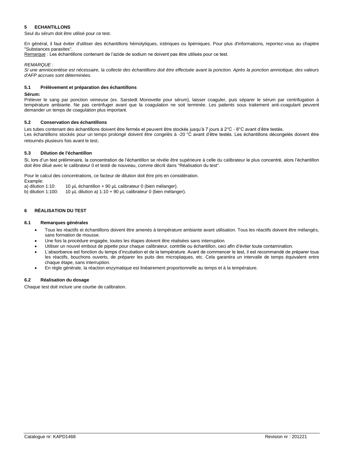## **5 ECHANTILLONS**

Seul du sérum doit être utilisé pour ce test.

En général, il faut éviter d'utiliser des échantillons hémolytiques, ictériques ou lipémiques. Pour plus d'informations, reportez-vous au chapitre "Substances parasites".

Remarque : Les échantillons contenant de l'azide de sodium ne doivent pas être utilisés pour ce test.

## *REMARQUE :*

*Si une amniocentèse est nécessaire, la collecte des échantillons doit être effectuée avant la ponction. Après la ponction amniotique, des valeurs d'AFP accrues sont déterminées.* 

## **5.1 Prélèvement et préparation des échantillons**

## **Sérum:**

Prélever le sang par ponction veineuse (ex. Sarstedt Monovette pour sérum), laisser coaguler, puis séparer le sérum par centrifugation à température ambiante. Ne pas centrifuger avant que la coagulation ne soit terminée. Les patients sous traitement anti-coagulant peuvent demander un temps de coagulation plus important.

## **5.2 Conservation des échantillons**

Les tubes contenant des échantillons doivent être fermés et peuvent être stockés jusqu'à 7 jours à 2°C - 8°C avant d'être testés. Les échantillons stockés pour un temps prolongé doivent être congelés à -20 °C avant d'être testés. Les échantillons décongelés doivent être retournés plusieurs fois avant le test.

## **5.3 Dilution de l'échantillon**

Si, lors d'un test préliminaire, la concentration de l'échantillon se révèle être supérieure à celle du calibrateur le plus concentré, alors l'échantillon doit être dilué avec le calibrateur 0 et testé de nouveau, comme décrit dans "Réalisation du test".

Pour le calcul des concentrations, ce facteur de dilution doit être pris en considération. Example:

a) dilution 1:10: 10 µL échantillon + 90 µL calibrateur 0 (bien mélanger).<br>b) dilution 1:100: 10 µL dilution a) 1:10 + 90 µL calibrateur 0 (bien mélang 10 µL dilution a) 1:10 + 90 µL calibrateur 0 (bien mélanger).

## **6 RÉALISATION DU TEST**

## **6.1 Remarques générales**

- Tous les réactifs et échantillons doivent être amenés à température ambiante avant utilisation. Tous les réactifs doivent être mélangés, sans formation de mousse.
- Une fois la procédure engagée, toutes les étapes doivent être réalisées sans interruption.
- Utiliser un nouvel embout de pipette pour chaque calibrateur, contrôle ou échantillon, ceci afin d'éviter toute contamination.
- L'absorbance est fonction du temps d'incubation et de la température. Avant de commencer le test, il est recommandé de préparer tous les réactifs, bouchons ouverts, de préparer les puits des microplaques, etc. Cela garantira un intervalle de temps équivalent entre chaque étape, sans interruption.
- En règle générale, la réaction enzymatique est linéairement proportionnelle au temps et à la température.

## **6.2 Réalisation du dosage**

Chaque test doit inclure une courbe de calibration.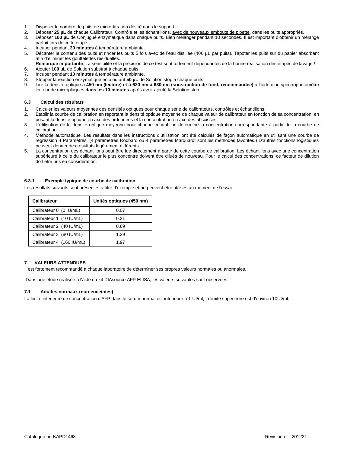- 1. Disposer le nombre de puits de micro-titration désiré dans le support.
- 2. Déposer 25 µL de chaque Calibrateur, Contrôle et les échantillons, <u>avec de nouveaux embouts de pipette</u>, dans les puits appropriés.<br>3. Déposer 100 µL de Conjugué enzymatique dans chaque puits. Bien mélanger pendant 10
- Déposer 100 µL de Conjugué enzymatique dans chaque puits. Bien mélanger pendant 10 secondes. Il est important d'obtenir un mélange parfait lors de cette étape.
- 4. Incuber pendant **30 minutes** à température ambiante.
- 5. Décanter le contenu des puits et rincer les puits 5 fois avec de l'eau distillée (400 µL par puits). Tapoter les puits sur du papier absorbant afin d'éliminer les gouttelettes résiduelles.
- **Remarque importante**: La sensibilité et la précision de ce test sont fortement dépendantes de la bonne réalisation des étapes de lavage ! 6. Ajouter **100 µL** de Solution substrat à chaque puits.
- 7. Incuber pendant **10 minutes** à température ambiante.
- 8. Stopper la réaction enzymatique en ajoutant **50 µL** de Solution stop à chaque puits.
- 9. Lire la densité optique à **450 nm (lecture) et à 620 nm à 630 nm (soustraction de fond, recommandée)** à l'aide d'un spectrophotomètre lecteur de microplaques **dans les 10 minutes** après avoir ajouté la Solution stop.

## **6.3 Calcul des résultats**

- 1. Calculer les valeurs moyennes des densités optiques pour chaque série de calibrateurs, contrôles et échantillons.
- 2. Etablir la courbe de calibration en reportant la densité optique moyenne de chaque valeur de calibrateur en fonction de sa concentration, en posant la densité optique en axe des ordonnées et la concentration en axe des abscisses.
- 3. L'utilisation de la densité optique moyenne pour chaque échantillon détermine la concentration correspondante à partir de la courbe de calibration.
- 4. Méthode automatique. Les résultats dans les instructions d'utilisation ont été calculés de façon automatique en utilisant une courbe de régression 4 Paramètres. (4 paramètres Rodbard ou 4 paramètres Marquardt sont les méthodes favorites.) D'autres fonctions logistiques peuvent donner des résultats légèrement différents.
- 5. La concentration des échantillons peut être lue directement à partir de cette courbe de calibration. Les échantillons avec une concentration supérieure à celle du calibrateur le plus concentré doivent être dilués de nouveau. Pour le calcul des concentrations, ce facteur de dilution doit être pris en considération.

## **6.3.1 Exemple typique de courbe de calibration**

Les résultats suivants sont présentés à titre d'exemple et ne peuvent être utilisés au moment de l'essai.

| Calibrateur               | Unités optiques (450 nm) |
|---------------------------|--------------------------|
| Calibrateur 0 (0 IU/mL)   | 0.07                     |
| Calibrateur 1 (10 IU/mL)  | 0.21                     |
| Calibrateur 2 (40 IU/mL)  | 0.69                     |
| Calibrateur 3 (80 IU/mL)  | 1.29                     |
| Calibrateur 4 (160 IU/mL) | 1.97                     |

## **7 VALEURS ATTENDUES**

Il est fortement recommandé à chaque laboratoire de déterminer ses propres valeurs normales ou anormales.

Dans une étude réalisée à l'aide du kit DIAsource AFP ELISA, les valeurs suivantes sont observées:

## **7.1 Adultes normaux (non-enceintes)**

La limite inférieure de concentration d'AFP dans le sérum normal est inférieure à 1 UI/ml; la limite supérieure est d'environ 10UI/ml.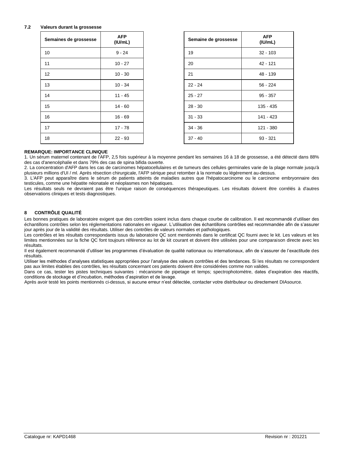## **7.2 Valeurs durant la grossesse**

| Semaines de grossesse | <b>AFP</b><br>(IU/mL) | Semaine de grossesse | <b>AFP</b><br>(IU/mL) |
|-----------------------|-----------------------|----------------------|-----------------------|
| 10                    | $9 - 24$              | 19                   | $32 - 103$            |
| 11                    | $10 - 27$             | 20                   | 42 - 121              |
| 12                    | $10 - 30$             | 21                   | 48 - 139              |
| 13                    | $10 - 34$             | $22 - 24$            | $56 - 224$            |
| 14                    | 11 - 45               | $25 - 27$            | $95 - 357$            |
| 15                    | $14 - 60$             | $28 - 30$            | $135 - 435$           |
| 16                    | $16 - 69$             | $31 - 33$            | 141 - 423             |
| 17                    | $17 - 78$             | $34 - 36$            | 121 - 380             |
| 18                    | $22 - 93$             | $37 - 40$            | $93 - 321$            |

## **REMARQUE: IMPORTANCE CLINIQUE**

1. Un sérum maternel contenant de l'AFP, 2,5 fois supérieur à la moyenne pendant les semaines 16 à 18 de grossesse, a été détecté dans 88% des cas d'anencéphalie et dans 79% des cas de spina bifida ouverte.

2. La concentration d'AFP dans les cas de carcinomes hépatocellulaires et de tumeurs des cellules germinales varie de la plage normale jusqu'à plusieurs millions d'UI / ml. Après résection chirurgicale, l'AFP sérique peut retomber à la normale ou légèrement au-dessus.

3. L'AFP peut apparaître dans le sérum de patients atteints de maladies autres que l'hépatocarcinome ou le carcinome embryonnaire des testicules, comme une hépatite néonatale et néoplasmes non hépatiques.

Les résultats seuls ne devraient pas être l'unique raison de conséquences thérapeutiques. Les résultats doivent être corrélés à d'autres observations cliniques et tests diagnostiques.

## **8 CONTRÔLE QUALITÉ**

Les bonnes pratiques de laboratoire exigent que des contrôles soient inclus dans chaque courbe de calibration. Il est recommandé d'utiliser des échantillons contrôles selon les réglementations nationales en vigueur. L'utilisation des échantillons contrôles est recommandée afin de s'assurer jour après jour de la validité des résultats. Utiliser des contrôles de valeurs normales et pathologiques.

Les contrôles et les résultats correspondants issus du laboratoire QC sont mentionnés dans le certificat QC fourni avec le kit. Les valeurs et les limites mentionnées sur la fiche QC font toujours référence au lot de kit courant et doivent être utilisées pour une comparaison directe avec les résultats.

Il est également recommandé d'utiliser les programmes d'évaluation de qualité nationaux ou internationaux, afin de s'assurer de l'exactitude des résultats.

Utiliser les méthodes d'analyses statistiques appropriées pour l'analyse des valeurs contrôles et des tendances. Si les résultats ne correspondent pas aux limites établies des contrôles, les résultats concernant ces patients doivent être considérées comme non valides.

Dans ce cas, tester les pistes techniques suivantes : mécanisme de pipetage et temps; spectrophotomètre, dates d'expiration des réactifs, conditions de stockage et d'incubation, méthodes d'aspiration et de lavage.

Après avoir testé les points mentionnés ci-dessus, si aucune erreur n'est détectée, contacter votre distributeur ou directement DIAsource.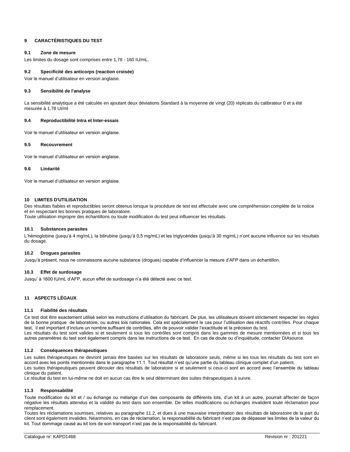## **9 CARACTÉRISTIQUES DU TEST**

## **9.1 Zone de mesure**

Les limites du dosage sont comprises entre 1,78 - 160 IU/mL.

## **9.2 Specificité des anticorps (reaction croisée)**

Voir le manuel d'utilisateur en version anglaise.

## **9.3 Sensibilité de l'analyse**

La sensibilité analytique a été calculée en ajoutant deux déviations Standard à la moyenne de vingt (20) réplicats du calibrateur 0 et a été mesurée à 1,78 UI/ml

## **9.4 Reproductibilité Intra et Inter-essais**

Voir le manuel d'utilisateur en version anglaise.

## **9.5 Recouvrement**

Voir le manuel d'utilisateur en version anglaise.

## **9.6 Linéarité**

Voir le manuel d'utilisateur en version anglaise.

## **10 LIMITES D'UTILISATION**

Des résultats fiables et reproductibles seront obtenus lorsque la procédure de test est effectuée avec une compréhension complète de la notice et en respectant les bonnes pratiques de laboratoire.

Toute utilisation impropre des échantillons ou toute modification du test peut influencer les résultats.

## **10.1 Substances parasites**

L'hémoglobine (jusqu'à 4 mg/mL), la bilirubine (jusqu'à 0,5 mg/mL) et les triglycérides (jusqu'à 30 mg/mL) n'ont aucune influence sur les résultats du dosage.

## **10.2 Drogues parasites**

Jusqu'à présent, nous ne connaissons aucune substance (drogues) capable d'influencer la mesure d'AFP dans un échantillon.

## **10.3 Effet de surdosage**

Jusqu' à 1600 IU/mL d'AFP, aucun effet de surdosage n'a été détecté avec ce test.

## **11 ASPECTS LÉGAUX**

## **11.1 Fiabilité des résultats**

Ce test doit être exactement utilisé selon les instructions d'utilisation du fabricant. De plus, les utilisateurs doivent strictement respecter les règles de la bonne pratique de laboratoire, ou autres lois nationales. Cela est spécialement le cas pour l'utilisation des réactifs contrôles. Pour chaque test, il est important d'inclure un nombre suffisant de contrôles, afin de pouvoir valider l'exactitude et la précision du test. Les résultats du test sont valides si et seulement si tous les contrôles sont compris dans les gammes de mesure mentionnées et si tous les autres paramètres du test sont également compris dans les instructions de ce test. En cas de doute ou d'inquiétude, contacter DIAsource.

## **11.2 Conséquences thérapeutiques**

Les suites thérapeutiques ne devront jamais être basées sur les résultats de laboratoire seuls, même si les tous les résultats du test sont en accord avec les points mentionnés dans le paragraphe 11.1. Tout résultat n'est qu'une partie du tableau clinique complet d'un patient. Les suites thérapeutiques peuvent découler des résultats de laboratoire si et seulement si ceux-ci sont en accord avec l'ensemble du tableau clinique du patient.

Le résultat du test en lui-même ne doit en aucun cas être le seul déterminant des suites thérapeutiques à suivre.

## **11.3 Responsabilité**

Toute modification du kit et / ou échange ou mélange d'un des composants de différents lots, d'un kit à un autre, pourrait affecter de façon négative les résultats attendus et la validité du test dans son ensemble. De telles modifications ou échanges invalident toute réclamation pour remplacement.

Toutes les réclamations soumises, relatives au paragraphe 11.2, et dues à une mauvaise interprétation des résultats de laboratoire de la part du client sont également invalides. Néanmoins, en cas de réclamation, la responsabilité du fabricant n'est pas de dépasser les limites de la valeur du kit. Tout dommage causé au kit lors de son transport n'est pas de la responsabilité du fabricant.